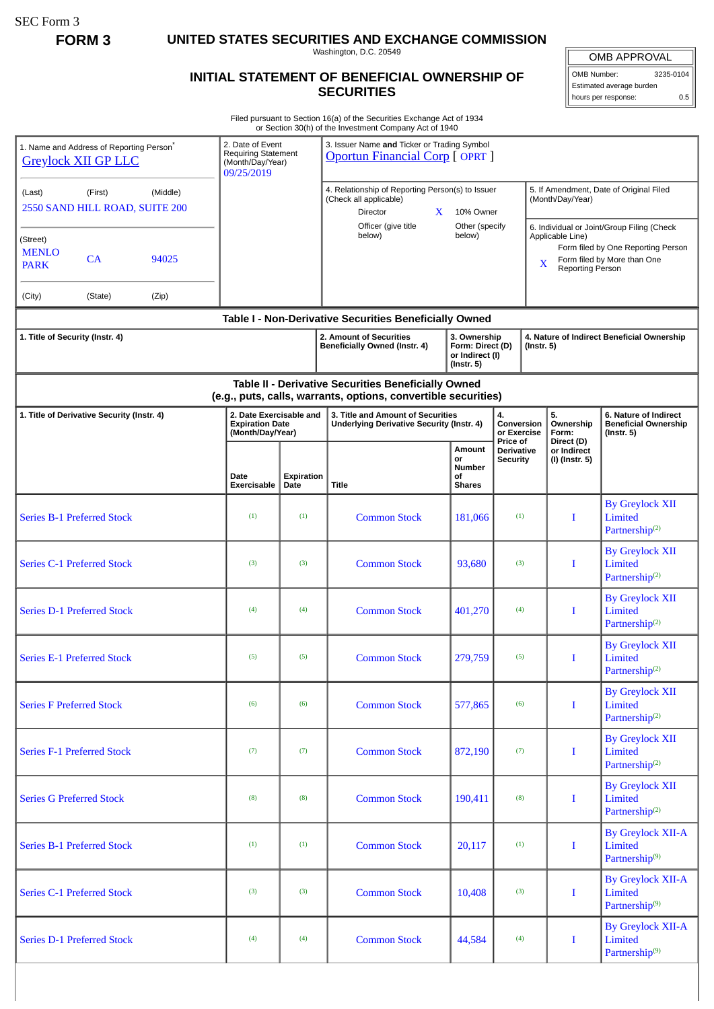SEC Form 3

**FORM 3 UNITED STATES SECURITIES AND EXCHANGE COMMISSION**

Washington, D.C. 20549

## **INITIAL STATEMENT OF BENEFICIAL OWNERSHIP OF SECURITIES**

OMB APPROVAL OMB Number: 3235-0104

Estimated average burden hours per response: 0.5

Filed pursuant to Section 16(a) of the Securities Exchange Act of 1934 or Section 30(h) of the Investment Company Act of 1940

| 1. Name and Address of Reporting Person <sup>®</sup><br><b>Greylock XII GP LLC</b> |         |       | 2. Date of Event<br><b>Requiring Statement</b><br>(Month/Day/Year)<br>09/25/2019 |                                                           | or Section 30(11) or the investment Company Act or 1940<br>3. Issuer Name and Ticker or Trading Symbol<br><b>Oportun Financial Corp [OPRT]</b> |                                                                   |                                                                                                                                                              |                                                                 |                                                                    |  |
|------------------------------------------------------------------------------------|---------|-------|----------------------------------------------------------------------------------|-----------------------------------------------------------|------------------------------------------------------------------------------------------------------------------------------------------------|-------------------------------------------------------------------|--------------------------------------------------------------------------------------------------------------------------------------------------------------|-----------------------------------------------------------------|--------------------------------------------------------------------|--|
| (First)<br>(Middle)<br>(Last)<br>2550 SAND HILL ROAD, SUITE 200                    |         |       |                                                                                  |                                                           | 4. Relationship of Reporting Person(s) to Issuer<br>(Check all applicable)<br>Director<br>$\mathbf{X}$                                         | 10% Owner                                                         |                                                                                                                                                              | 5. If Amendment, Date of Original Filed<br>(Month/Day/Year)     |                                                                    |  |
| (Street)<br><b>MENLO</b><br>CA<br>94025<br><b>PARK</b>                             |         |       |                                                                                  | Other (specify<br>Officer (give title<br>below)<br>below) |                                                                                                                                                |                                                                   | 6. Individual or Joint/Group Filing (Check<br>Applicable Line)<br>Form filed by One Reporting Person<br>Form filed by More than One<br>X<br>Reporting Person |                                                                 |                                                                    |  |
| (City)                                                                             | (State) | (Zip) |                                                                                  |                                                           |                                                                                                                                                |                                                                   |                                                                                                                                                              |                                                                 |                                                                    |  |
| 1. Title of Security (Instr. 4)                                                    |         |       |                                                                                  |                                                           | Table I - Non-Derivative Securities Beneficially Owned<br>2. Amount of Securities<br>Beneficially Owned (Instr. 4)                             | 3. Ownership<br>Form: Direct (D)<br>or Indirect (I)<br>(Instr. 5) | 4. Nature of Indirect Beneficial Ownership<br>(Instr. 5)                                                                                                     |                                                                 |                                                                    |  |
|                                                                                    |         |       |                                                                                  |                                                           | Table II - Derivative Securities Beneficially Owned<br>(e.g., puts, calls, warrants, options, convertible securities)                          |                                                                   |                                                                                                                                                              |                                                                 |                                                                    |  |
| 1. Title of Derivative Security (Instr. 4)                                         |         |       | 2. Date Exercisable and<br><b>Expiration Date</b><br>(Month/Day/Year)            |                                                           | 3. Title and Amount of Securities<br>Underlying Derivative Security (Instr. 4)                                                                 |                                                                   | 4.<br>Conversion<br>or Exercise<br>Price of                                                                                                                  | 5.<br>Ownership<br>Form:                                        | 6. Nature of Indirect<br><b>Beneficial Ownership</b><br>(Instr. 5) |  |
|                                                                                    |         |       | Date<br>Exercisable                                                              | Expiration<br>Date                                        | <b>Title</b>                                                                                                                                   | <b>Amount</b><br>or<br><b>Number</b><br>οf<br><b>Shares</b>       | <b>Derivative</b><br>Security                                                                                                                                | Direct (D)<br>or Indirect<br>(I) (Instr. 5)                     |                                                                    |  |
| <b>Series B-1 Preferred Stock</b>                                                  |         |       | (1)                                                                              | (1)                                                       | <b>Common Stock</b>                                                                                                                            | 181,066                                                           | (1)                                                                                                                                                          | I                                                               | <b>By Greylock XII</b><br>Limited<br>Partnership <sup>(2)</sup>    |  |
| <b>Series C-1 Preferred Stock</b>                                                  |         |       | (3)                                                                              | (3)                                                       | <b>Common Stock</b>                                                                                                                            | 93,680                                                            | (3)                                                                                                                                                          | I                                                               | <b>By Greylock XII</b><br>Limited<br>Partnership $(2)$             |  |
| <b>Series D-1 Preferred Stock</b>                                                  |         |       | (4)                                                                              | (4)                                                       | <b>Common Stock</b>                                                                                                                            | 401,270                                                           | (4)                                                                                                                                                          | T                                                               | <b>By Greylock XII</b><br>Limited<br>Partnership <sup>(2)</sup>    |  |
| <b>Series E-1 Preferred Stock</b>                                                  |         |       | (5)                                                                              | (5)                                                       | <b>Common Stock</b>                                                                                                                            | 279,759                                                           | (5)                                                                                                                                                          | I                                                               | <b>By Greylock XII</b><br>Limited<br>Partnership <sup>(2)</sup>    |  |
| <b>Series F Preferred Stock</b>                                                    |         |       | (6)                                                                              | (6)                                                       | <b>Common Stock</b>                                                                                                                            | 577,865                                                           | (6)                                                                                                                                                          | Ι.                                                              | <b>By Greylock XII</b><br>Limited<br>Partnership <sup>(2)</sup>    |  |
| <b>Series F-1 Preferred Stock</b>                                                  |         |       | (7)                                                                              | (7)                                                       | <b>Common Stock</b>                                                                                                                            | 872,190                                                           | (7)                                                                                                                                                          | $\mathbf{I}$                                                    | <b>By Greylock XII</b><br>Limited<br>Partnership <sup>(2)</sup>    |  |
| <b>Series G Preferred Stock</b>                                                    |         | (8)   | (8)                                                                              | <b>Common Stock</b>                                       | 190,411                                                                                                                                        | (8)                                                               | $\bf{I}$                                                                                                                                                     | <b>By Greylock XII</b><br>Limited<br>Partnership <sup>(2)</sup> |                                                                    |  |
| <b>Series B-1 Preferred Stock</b>                                                  |         |       | (1)                                                                              | (1)                                                       | <b>Common Stock</b>                                                                                                                            | 20,117                                                            | (1)                                                                                                                                                          | $\bf{I}$                                                        | <b>By Greylock XII-A</b><br>Limited<br>Partnership <sup>(9)</sup>  |  |
| <b>Series C-1 Preferred Stock</b>                                                  |         |       | (3)                                                                              | (3)                                                       | <b>Common Stock</b>                                                                                                                            | 10,408                                                            | (3)                                                                                                                                                          | $\bf{I}$                                                        | <b>By Greylock XII-A</b><br>Limited<br>Partnership <sup>(9)</sup>  |  |
| <b>Series D-1 Preferred Stock</b>                                                  |         |       | (4)                                                                              | (4)                                                       | <b>Common Stock</b>                                                                                                                            | 44,584                                                            | (4)                                                                                                                                                          | $\mathbf{I}$                                                    | <b>By Greylock XII-A</b><br>Limited<br>Partnership <sup>(9)</sup>  |  |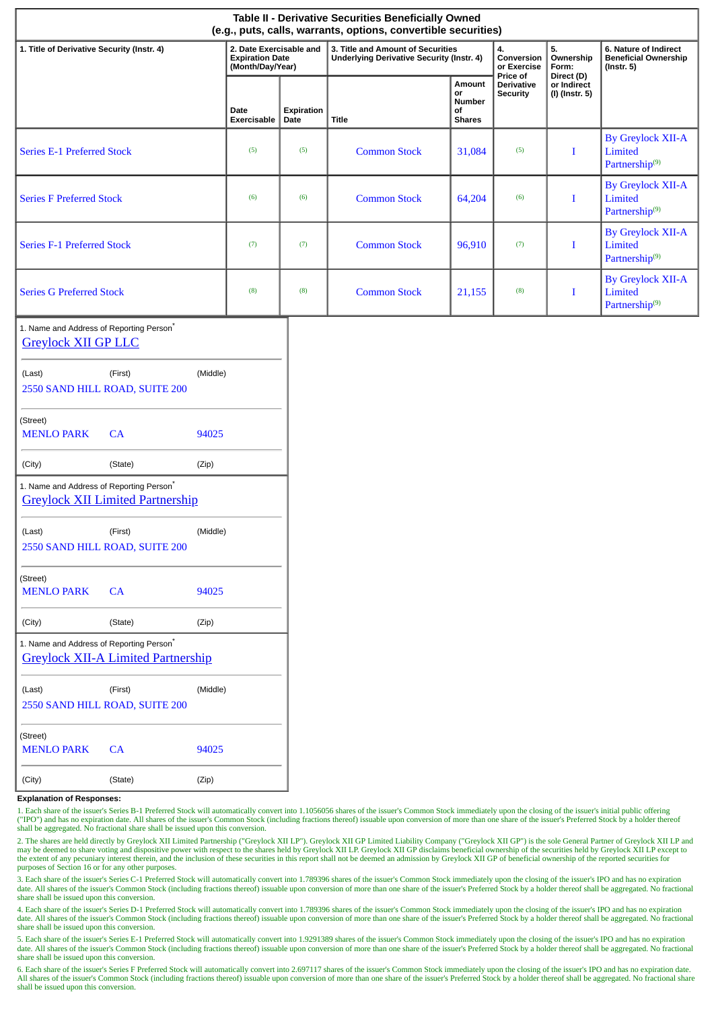| Table II - Derivative Securities Beneficially Owned<br>(e.g., puts, calls, warrants, options, convertible securities) |                                                                       |                    |                                                                                       |                                               |                                                  |                                             |                                                                          |  |
|-----------------------------------------------------------------------------------------------------------------------|-----------------------------------------------------------------------|--------------------|---------------------------------------------------------------------------------------|-----------------------------------------------|--------------------------------------------------|---------------------------------------------|--------------------------------------------------------------------------|--|
| 1. Title of Derivative Security (Instr. 4)                                                                            | 2. Date Exercisable and<br><b>Expiration Date</b><br>(Month/Day/Year) |                    | 3. Title and Amount of Securities<br><b>Underlying Derivative Security (Instr. 4)</b> |                                               | 4.<br>Conversion<br>or Exercise                  | 5.<br>Ownership<br>Form:                    | 6. Nature of Indirect<br><b>Beneficial Ownership</b><br>$($ Instr. 5 $)$ |  |
|                                                                                                                       | Date<br>Exercisable                                                   | Expiration<br>Date | <b>Title</b>                                                                          | Amount<br>or<br>Number<br>of<br><b>Shares</b> | Price of<br><b>Derivative</b><br><b>Security</b> | Direct (D)<br>or Indirect<br>(I) (Instr. 5) |                                                                          |  |
| <b>Series E-1 Preferred Stock</b>                                                                                     | (5)                                                                   | (5)                | <b>Common Stock</b>                                                                   | 31,084                                        | (5)                                              | $\bf{I}$                                    | <b>By Greylock XII-A</b><br>Limited<br>Partnership <sup>(9)</sup>        |  |
| <b>Series F Preferred Stock</b>                                                                                       | (6)                                                                   | (6)                | <b>Common Stock</b>                                                                   | 64,204                                        | (6)                                              | $\bf{I}$                                    | <b>By Greylock XII-A</b><br>Limited<br>Partnership <sup>(9)</sup>        |  |
| <b>Series F-1 Preferred Stock</b>                                                                                     | (7)                                                                   | (7)                | <b>Common Stock</b>                                                                   | 96,910                                        | (7)                                              | $\bf{I}$                                    | <b>By Greylock XII-A</b><br>Limited<br>Partnership <sup>(9)</sup>        |  |
| <b>Series G Preferred Stock</b>                                                                                       | (8)                                                                   | (8)                | <b>Common Stock</b>                                                                   | 21,155                                        | (8)                                              | $\bf I$                                     | <b>By Greylock XII-A</b><br>Limited<br>Partnership <sup>(9)</sup>        |  |
| 1. Name and Address of Reporting Person <sup>*</sup><br><b>Greylock XII GP LLC</b>                                    |                                                                       |                    |                                                                                       |                                               |                                                  |                                             |                                                                          |  |
| (Last)<br>(First)<br>2550 SAND HILL ROAD, SUITE 200                                                                   | (Middle)                                                              |                    |                                                                                       |                                               |                                                  |                                             |                                                                          |  |
| (Street)<br><b>MENLO PARK</b><br>CA                                                                                   | 94025                                                                 |                    |                                                                                       |                                               |                                                  |                                             |                                                                          |  |
| (City)<br>(State)                                                                                                     | (Zip)                                                                 |                    |                                                                                       |                                               |                                                  |                                             |                                                                          |  |
| 1. Name and Address of Reporting Person <sup>*</sup><br><b>Greylock XII Limited Partnership</b>                       |                                                                       |                    |                                                                                       |                                               |                                                  |                                             |                                                                          |  |
| (Last)<br>(First)<br>2550 SAND HILL ROAD, SUITE 200                                                                   | (Middle)                                                              |                    |                                                                                       |                                               |                                                  |                                             |                                                                          |  |
| (Street)<br><b>MENLO PARK</b><br>CA                                                                                   | 94025                                                                 |                    |                                                                                       |                                               |                                                  |                                             |                                                                          |  |
| (City)<br>(State)                                                                                                     | (Zip)                                                                 |                    |                                                                                       |                                               |                                                  |                                             |                                                                          |  |
| 1. Name and Address of Reporting Person*<br><b>Greylock XII-A Limited Partnership</b>                                 |                                                                       |                    |                                                                                       |                                               |                                                  |                                             |                                                                          |  |
| (Last)<br>(First)<br>2550 SAND HILL ROAD, SUITE 200                                                                   | (Middle)                                                              |                    |                                                                                       |                                               |                                                  |                                             |                                                                          |  |
| (Street)<br><b>MENLO PARK</b><br>CA                                                                                   | 94025                                                                 |                    |                                                                                       |                                               |                                                  |                                             |                                                                          |  |
| (City)<br>(State)                                                                                                     | (Zip)                                                                 |                    |                                                                                       |                                               |                                                  |                                             |                                                                          |  |

## **Explanation of Responses:**

1. Each share of the issuer's Series B-1 Preferred Stock will automatically convert into 1.1056056 shares of the issuer's Common Stock immediately upon the closing of the issuer's initial public offering ("IPO") and has no expiration date. All shares of the issuer's Common Stock (including fractions thereof) issuable upon conversion of more than one share of the issuer's Preferred Stock by a holder thereof shall be aggregated. No fractional share shall be issued upon this conversion.

2. The shares are held directly by Greylock XII Limited Partnership ("Greylock XII LP"). Greylock XII GP Limited Liability Company ("Greylock XII GP") is the sole General Partner of Greylock XII LP and may be deemed to share voting and dispositive power with respect to the shares held by Greylock XII LP. Greylock XII GP disclaims beneficial ownership of the securities held by Greylock XII LP except to the extent of any p purposes of Section 16 or for any other purposes.

3. Each share of the issuer's Series C-1 Preferred Stock will automatically convert into 1.789396 shares of the issuer's Common Stock immediately upon the closing of the issuer's IPO and has no expiration date. All shares of the issuer's Common Stock (including fractions thereof) issuable upon conversion of more than one share of the issuer's Preferred Stock by a holder thereof shall be aggregated. No fractional share shall be issued upon this conversion.

4. Each share of the issuer's Series D-1 Preferred Stock will automatically convert into 1.789396 shares of the issuer's Common Stock immediately upon the closing of the issuer's IPO and has no expiration date. All shares of the issuer's Common Stock (including fractions thereof) issuable upon conversion of more than one share of the issuer's Preferred Stock by a holder thereof shall be aggregated. No fractional behavior an share shall be issued upon this conversion.

5. Each share of the issuer's Series E-1 Preferred Stock will automatically convert into 1.9291389 shares of the issuer's Common Stock immediately upon the closing of the issuer's IPO and has no expiration date. All shares of the issuer's Common Stock (including fractions thereof) issuable upon conversion of more than one share of the issuer's Preferred Stock by a holder thereof shall be aggregated. No fractional share shall be issued upon this conversion.

6. Each share of the issuer's Series F Preferred Stock will automatically convert into 2.697117 shares of the issuer's Common Stock immediately upon the closing of the issuer's IPO and has no expiration date. All shares of the issuer's Common Stock (including fractions thereof) issuable upon conversion of more than one share of the issuer's Preferred Stock by a holder thereof shall be aggregated. No fractional share shall be issued upon this conversion.